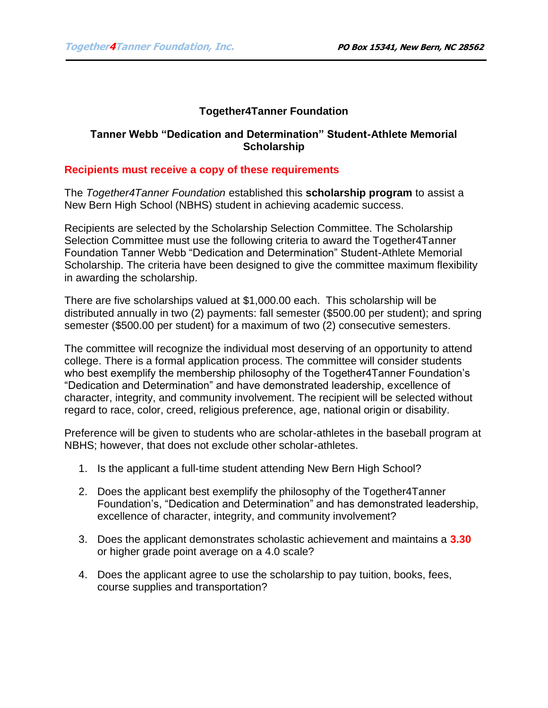## **Together4Tanner Foundation**

### **Tanner Webb "Dedication and Determination" Student-Athlete Memorial Scholarship**

#### **Recipients must receive a copy of these requirements**

The *Together4Tanner Foundation* established this **scholarship program** to assist a New Bern High School (NBHS) student in achieving academic success.

Recipients are selected by the Scholarship Selection Committee. The Scholarship Selection Committee must use the following criteria to award the Together4Tanner Foundation Tanner Webb "Dedication and Determination" Student-Athlete Memorial Scholarship. The criteria have been designed to give the committee maximum flexibility in awarding the scholarship.

There are five scholarships valued at \$1,000.00 each. This scholarship will be distributed annually in two (2) payments: fall semester (\$500.00 per student); and spring semester (\$500.00 per student) for a maximum of two (2) consecutive semesters.

The committee will recognize the individual most deserving of an opportunity to attend college. There is a formal application process. The committee will consider students who best exemplify the membership philosophy of the Together4Tanner Foundation's "Dedication and Determination" and have demonstrated leadership, excellence of character, integrity, and community involvement. The recipient will be selected without regard to race, color, creed, religious preference, age, national origin or disability.

Preference will be given to students who are scholar-athletes in the baseball program at NBHS; however, that does not exclude other scholar-athletes.

- 1. Is the applicant a full-time student attending New Bern High School?
- 2. Does the applicant best exemplify the philosophy of the Together4Tanner Foundation's, "Dedication and Determination" and has demonstrated leadership, excellence of character, integrity, and community involvement?
- 3. Does the applicant demonstrates scholastic achievement and maintains a **3.30** or higher grade point average on a 4.0 scale?
- 4. Does the applicant agree to use the scholarship to pay tuition, books, fees, course supplies and transportation?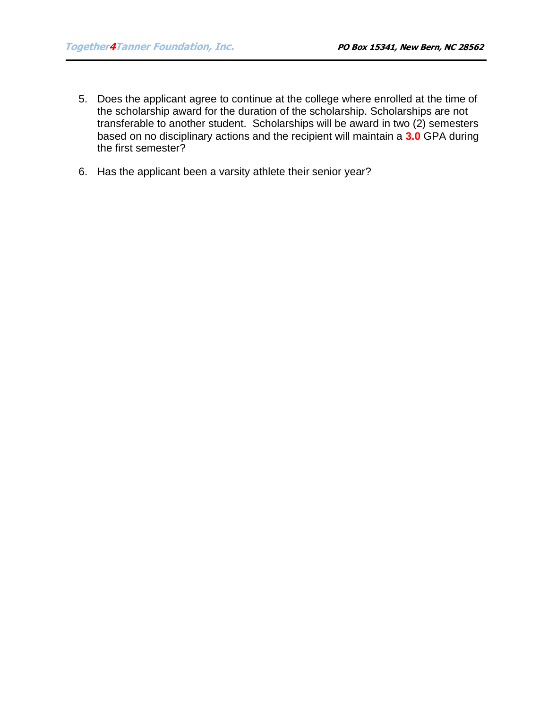- 5. Does the applicant agree to continue at the college where enrolled at the time of the scholarship award for the duration of the scholarship. Scholarships are not transferable to another student. Scholarships will be award in two (2) semesters based on no disciplinary actions and the recipient will maintain a **3.0** GPA during the first semester?
- 6. Has the applicant been a varsity athlete their senior year?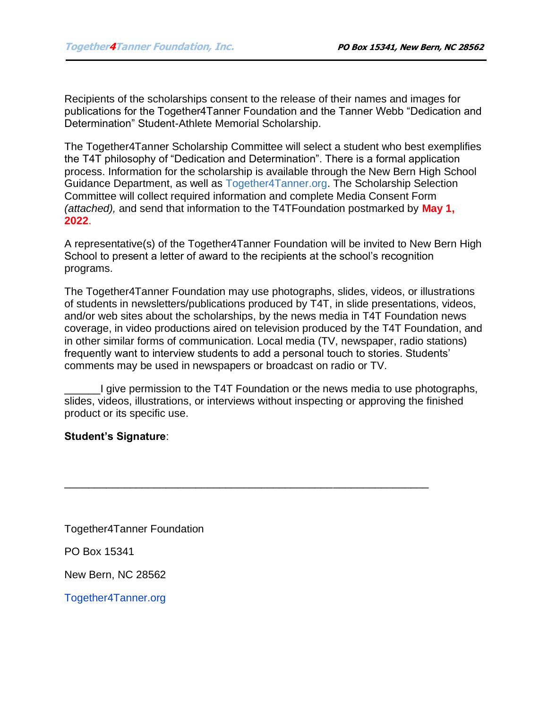Recipients of the scholarships consent to the release of their names and images for publications for the Together4Tanner Foundation and the Tanner Webb "Dedication and Determination" Student-Athlete Memorial Scholarship.

The Together4Tanner Scholarship Committee will select a student who best exemplifies the T4T philosophy of "Dedication and Determination". There is a formal application process. Information for the scholarship is available through the New Bern High School Guidance Department, as well as Together4Tanner.org. The Scholarship Selection Committee will collect required information and complete Media Consent Form *(attached),* and send that information to the T4TFoundation postmarked by **May 1, 2022**.

A representative(s) of the Together4Tanner Foundation will be invited to New Bern High School to present a letter of award to the recipients at the school's recognition programs.

The Together4Tanner Foundation may use photographs, slides, videos, or illustrations of students in newsletters/publications produced by T4T, in slide presentations, videos, and/or web sites about the scholarships, by the news media in T4T Foundation news coverage, in video productions aired on television produced by the T4T Foundation, and in other similar forms of communication. Local media (TV, newspaper, radio stations) frequently want to interview students to add a personal touch to stories. Students' comments may be used in newspapers or broadcast on radio or TV.

\_\_\_\_\_\_I give permission to the T4T Foundation or the news media to use photographs, slides, videos, illustrations, or interviews without inspecting or approving the finished product or its specific use.

\_\_\_\_\_\_\_\_\_\_\_\_\_\_\_\_\_\_\_\_\_\_\_\_\_\_\_\_\_\_\_\_\_\_\_\_\_\_\_\_\_\_\_\_\_\_\_\_\_\_\_\_\_\_\_\_\_\_\_\_\_

# **Student's Signature**:

Together4Tanner Foundation

PO Box 15341

New Bern, NC 28562

Together4Tanner.org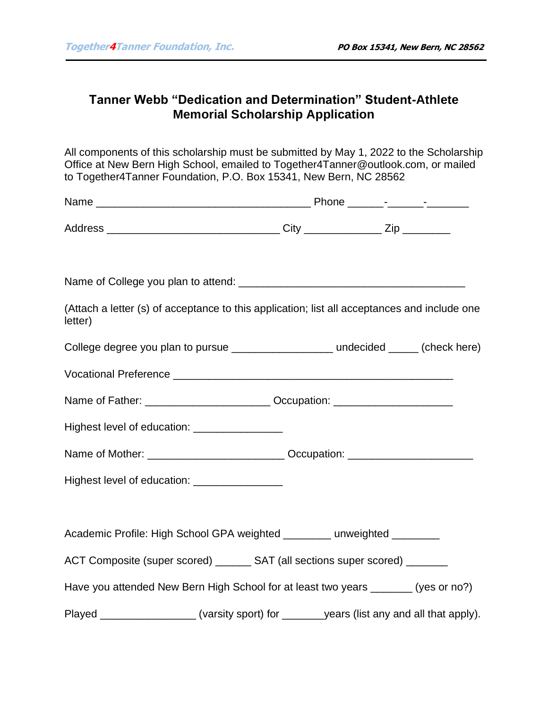# **Tanner Webb "Dedication and Determination" Student-Athlete Memorial Scholarship Application**

All components of this scholarship must be submitted by May 1, 2022 to the Scholarship Office at New Bern High School, emailed to Together4Tanner@outlook.com, or mailed to Together4Tanner Foundation, P.O. Box 15341, New Bern, NC 28562

| (Attach a letter (s) of acceptance to this application; list all acceptances and include one<br>letter)                                                                                                                        |  |  |
|--------------------------------------------------------------------------------------------------------------------------------------------------------------------------------------------------------------------------------|--|--|
| College degree you plan to pursue ______________________ undecided _____ (check here)                                                                                                                                          |  |  |
| Vocational Preference Learn Contract Contract Contract Contract Contract Contract Contract Contract Contract Contract Contract Contract Contract Contract Contract Contract Contract Contract Contract Contract Contract Contr |  |  |
| Name of Father: ______________________________ Occupation: _____________________                                                                                                                                               |  |  |
| Highest level of education: __________________                                                                                                                                                                                 |  |  |
| Name of Mother: _________________________________ Occupation: __________________                                                                                                                                               |  |  |
| Highest level of education: __________________                                                                                                                                                                                 |  |  |
|                                                                                                                                                                                                                                |  |  |
| Academic Profile: High School GPA weighted _______ unweighted _______                                                                                                                                                          |  |  |
| ACT Composite (super scored) _______ SAT (all sections super scored) _______                                                                                                                                                   |  |  |
| Have you attended New Bern High School for at least two years _______ (yes or no?)                                                                                                                                             |  |  |
| Played ___________________(varsity sport) for _______years (list any and all that apply).                                                                                                                                      |  |  |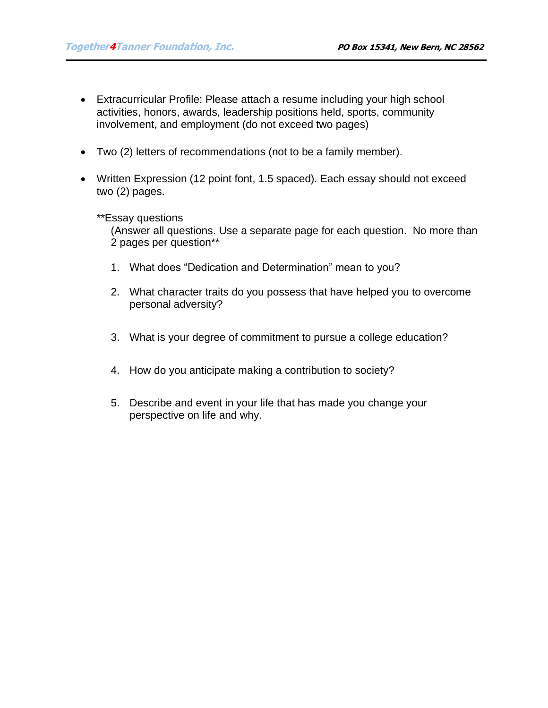- Extracurricular Profile: Please attach a resume including your high school activities, honors, awards, leadership positions held, sports, community involvement, and employment (do not exceed two pages)
- Two (2) letters of recommendations (not to be a family member).
- Written Expression (12 point font, 1.5 spaced). Each essay should not exceed two (2) pages.

### \*\*Essay questions

(Answer all questions. Use a separate page for each question. No more than 2 pages per question\*\*

- 1. What does "Dedication and Determination" mean to you?
- 2. What character traits do you possess that have helped you to overcome personal adversity?
- 3. What is your degree of commitment to pursue a college education?
- 4. How do you anticipate making a contribution to society?
- 5. Describe and event in your life that has made you change your perspective on life and why.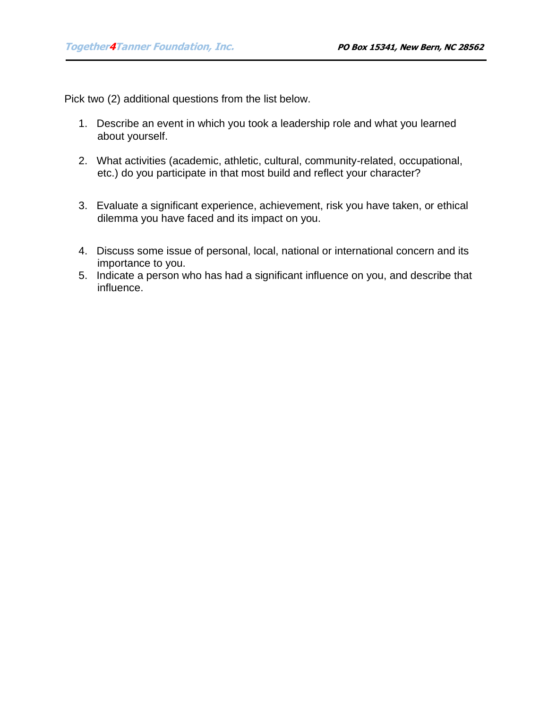Pick two (2) additional questions from the list below.

- 1. Describe an event in which you took a leadership role and what you learned about yourself.
- 2. What activities (academic, athletic, cultural, community-related, occupational, etc.) do you participate in that most build and reflect your character?
- 3. Evaluate a significant experience, achievement, risk you have taken, or ethical dilemma you have faced and its impact on you.
- 4. Discuss some issue of personal, local, national or international concern and its importance to you.
- 5. Indicate a person who has had a significant influence on you, and describe that influence.